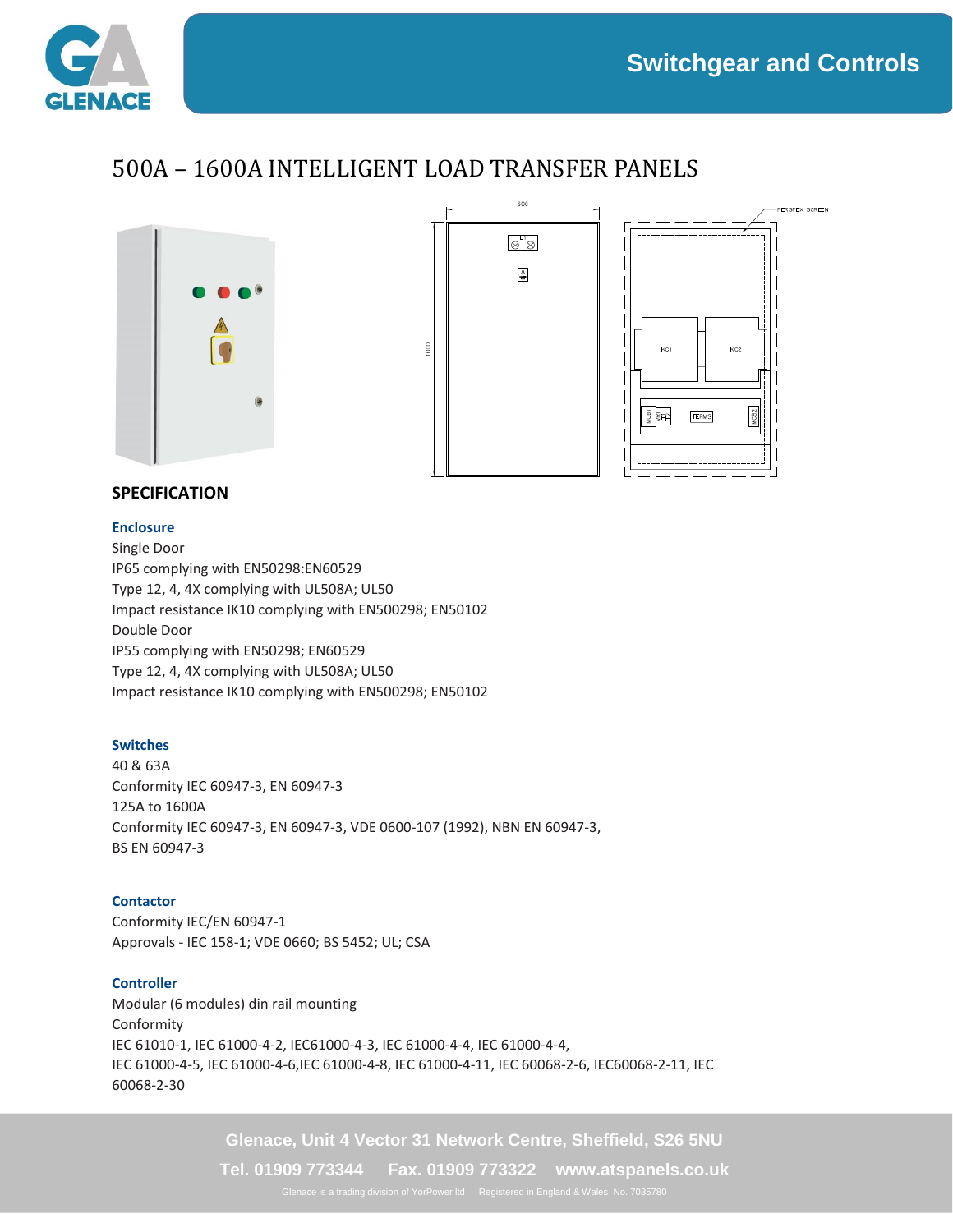$KC2$ 

**TERMS** 

**ERSPEX SCREEN** 



## 500A – 1600A INTELLIGENT LOAD TRANSFER PANELS





### **SPECIFICATION**

#### **Enclosure**

Single Door IP65 complying with EN50298:EN60529 Type 12, 4, 4X complying with UL508A; UL50 Impact resistance IK10 complying with EN500298; EN50102 Double Door IP55 complying with EN50298; EN60529 Type 12, 4, 4X complying with UL508A; UL50 Impact resistance IK10 complying with EN500298; EN50102

#### **Switches**

40 & 63A Conformity IEC 60947-3, EN 60947-3 125A to 1600A Conformity IEC 60947-3, EN 60947-3, VDE 0600-107 (1992), NBN EN 60947-3, BS EN 60947-3

#### **Contactor**

Conformity IEC/EN 60947-1 Approvals - IEC 158-1; VDE 0660; BS 5452; UL; CSA

#### **Controller**

Modular (6 modules) din rail mounting Conformity IEC 61010-1, IEC 61000-4-2, IEC61000-4-3, IEC 61000-4-4, IEC 61000-4-4, IEC 61000-4-5, IEC 61000-4-6,IEC 61000-4-8, IEC 61000-4-11, IEC 60068-2-6, IEC60068-2-11, IEC 60068-2-30

**Glenace, Unit 4 Vector 31 Network Centre, Sheffield, S26 5NU**